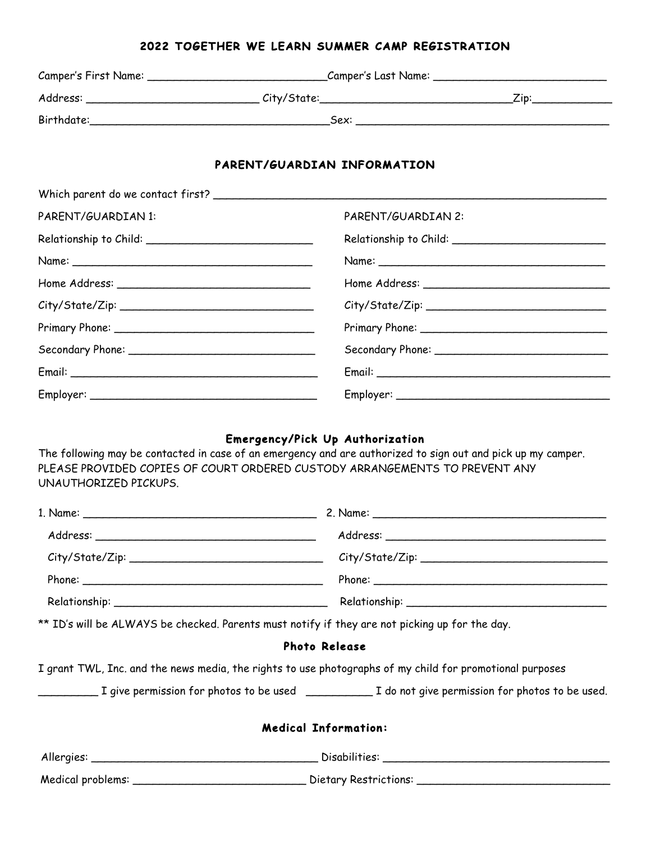## **2022 TOGETHER WE LEARN SUMMER CAMP REGISTRATION**

|                                                                                                                                                                                                                                                                                                                                                                                              | Camper's First Name: _______________________________Camper's Last Name: ____________________________           |  |  |  |
|----------------------------------------------------------------------------------------------------------------------------------------------------------------------------------------------------------------------------------------------------------------------------------------------------------------------------------------------------------------------------------------------|----------------------------------------------------------------------------------------------------------------|--|--|--|
|                                                                                                                                                                                                                                                                                                                                                                                              |                                                                                                                |  |  |  |
|                                                                                                                                                                                                                                                                                                                                                                                              |                                                                                                                |  |  |  |
|                                                                                                                                                                                                                                                                                                                                                                                              |                                                                                                                |  |  |  |
|                                                                                                                                                                                                                                                                                                                                                                                              | PARENT/GUARDIAN INFORMATION                                                                                    |  |  |  |
|                                                                                                                                                                                                                                                                                                                                                                                              |                                                                                                                |  |  |  |
| PARENT/GUARDIAN 1:                                                                                                                                                                                                                                                                                                                                                                           | PARENT/GUARDIAN 2:                                                                                             |  |  |  |
|                                                                                                                                                                                                                                                                                                                                                                                              |                                                                                                                |  |  |  |
|                                                                                                                                                                                                                                                                                                                                                                                              |                                                                                                                |  |  |  |
|                                                                                                                                                                                                                                                                                                                                                                                              |                                                                                                                |  |  |  |
|                                                                                                                                                                                                                                                                                                                                                                                              | City/State/Zip:                                                                                                |  |  |  |
|                                                                                                                                                                                                                                                                                                                                                                                              |                                                                                                                |  |  |  |
|                                                                                                                                                                                                                                                                                                                                                                                              |                                                                                                                |  |  |  |
|                                                                                                                                                                                                                                                                                                                                                                                              |                                                                                                                |  |  |  |
|                                                                                                                                                                                                                                                                                                                                                                                              |                                                                                                                |  |  |  |
| UNAUTHORIZED PICKUPS.                                                                                                                                                                                                                                                                                                                                                                        | PLEASE PROVIDED COPIES OF COURT ORDERED CUSTODY ARRANGEMENTS TO PREVENT ANY                                    |  |  |  |
|                                                                                                                                                                                                                                                                                                                                                                                              |                                                                                                                |  |  |  |
| Address:                                                                                                                                                                                                                                                                                                                                                                                     | Address:                                                                                                       |  |  |  |
|                                                                                                                                                                                                                                                                                                                                                                                              |                                                                                                                |  |  |  |
|                                                                                                                                                                                                                                                                                                                                                                                              |                                                                                                                |  |  |  |
|                                                                                                                                                                                                                                                                                                                                                                                              |                                                                                                                |  |  |  |
|                                                                                                                                                                                                                                                                                                                                                                                              | ** ID's will be ALWAYS be checked. Parents must notify if they are not picking up for the day.                 |  |  |  |
|                                                                                                                                                                                                                                                                                                                                                                                              | <b>Photo Release</b>                                                                                           |  |  |  |
|                                                                                                                                                                                                                                                                                                                                                                                              | I grant TWL, Inc. and the news media, the rights to use photographs of my child for promotional purposes       |  |  |  |
| $\frac{1}{2} \left( \frac{1}{2} \frac{1}{2} \frac{1}{2} \frac{1}{2} \frac{1}{2} \frac{1}{2} \frac{1}{2} \frac{1}{2} \frac{1}{2} \frac{1}{2} \frac{1}{2} \frac{1}{2} \frac{1}{2} \frac{1}{2} \frac{1}{2} \frac{1}{2} \frac{1}{2} \frac{1}{2} \frac{1}{2} \frac{1}{2} \frac{1}{2} \frac{1}{2} \frac{1}{2} \frac{1}{2} \frac{1}{2} \frac{1}{2} \frac{1}{2} \frac{1}{2} \frac{1}{2} \frac{1}{2}$ | _ I give permission for photos to be used _____________ I do not give permission for photos to be used.        |  |  |  |
|                                                                                                                                                                                                                                                                                                                                                                                              | <b>Medical Information:</b>                                                                                    |  |  |  |
|                                                                                                                                                                                                                                                                                                                                                                                              |                                                                                                                |  |  |  |
|                                                                                                                                                                                                                                                                                                                                                                                              | Medical problems: ___________________________________Dietary Restrictions: ___________________________________ |  |  |  |